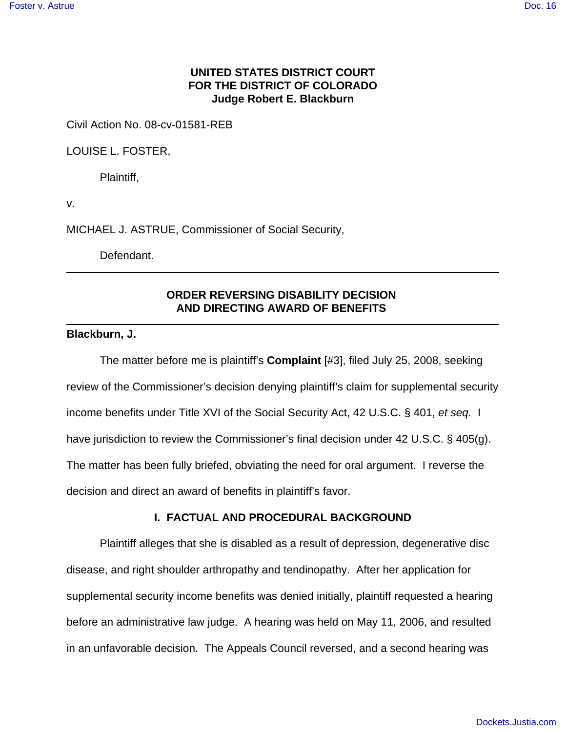## **UNITED STATES DISTRICT COURT FOR THE DISTRICT OF COLORADO Judge Robert E. Blackburn**

Civil Action No. 08-cv-01581-REB

LOUISE L. FOSTER,

Plaintiff,

v.

MICHAEL J. ASTRUE, Commissioner of Social Security,

Defendant.

# **ORDER REVERSING DISABILITY DECISION AND DIRECTING AWARD OF BENEFITS**

#### **Blackburn, J.**

The matter before me is plaintiff's **Complaint** [#3], filed July 25, 2008, seeking review of the Commissioner's decision denying plaintiff's claim for supplemental security income benefits under Title XVI of the Social Security Act, 42 U.S.C. § 401, *et seq.* I have jurisdiction to review the Commissioner's final decision under 42 U.S.C. § 405(g). The matter has been fully briefed, obviating the need for oral argument. I reverse the decision and direct an award of benefits in plaintiff's favor.

#### **I. FACTUAL AND PROCEDURAL BACKGROUND**

Plaintiff alleges that she is disabled as a result of depression, degenerative disc disease, and right shoulder arthropathy and tendinopathy. After her application for supplemental security income benefits was denied initially, plaintiff requested a hearing before an administrative law judge. A hearing was held on May 11, 2006, and resulted in an unfavorable decision. The Appeals Council reversed, and a second hearing was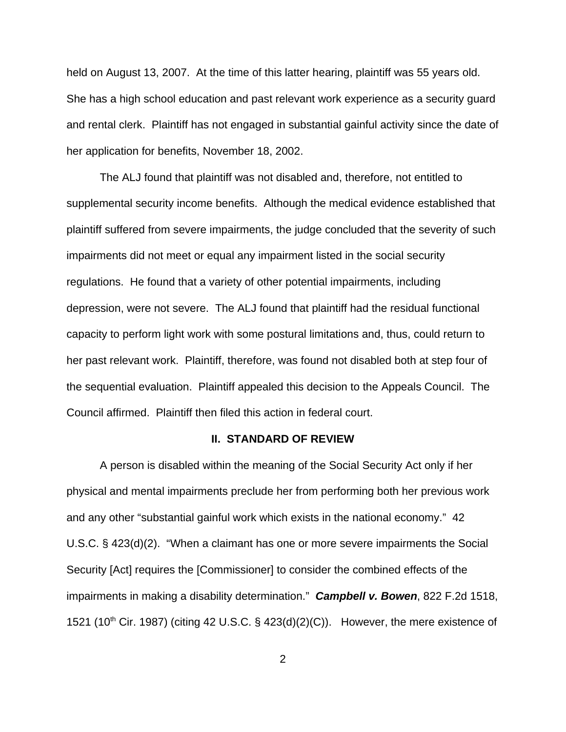held on August 13, 2007. At the time of this latter hearing, plaintiff was 55 years old. She has a high school education and past relevant work experience as a security guard and rental clerk. Plaintiff has not engaged in substantial gainful activity since the date of her application for benefits, November 18, 2002.

The ALJ found that plaintiff was not disabled and, therefore, not entitled to supplemental security income benefits. Although the medical evidence established that plaintiff suffered from severe impairments, the judge concluded that the severity of such impairments did not meet or equal any impairment listed in the social security regulations. He found that a variety of other potential impairments, including depression, were not severe. The ALJ found that plaintiff had the residual functional capacity to perform light work with some postural limitations and, thus, could return to her past relevant work. Plaintiff, therefore, was found not disabled both at step four of the sequential evaluation. Plaintiff appealed this decision to the Appeals Council. The Council affirmed. Plaintiff then filed this action in federal court.

### **II. STANDARD OF REVIEW**

A person is disabled within the meaning of the Social Security Act only if her physical and mental impairments preclude her from performing both her previous work and any other "substantial gainful work which exists in the national economy." 42 U.S.C. § 423(d)(2). "When a claimant has one or more severe impairments the Social Security [Act] requires the [Commissioner] to consider the combined effects of the impairments in making a disability determination." *Campbell v. Bowen*, 822 F.2d 1518, 1521 (10<sup>th</sup> Cir. 1987) (citing 42 U.S.C. § 423(d)(2)(C)). However, the mere existence of

2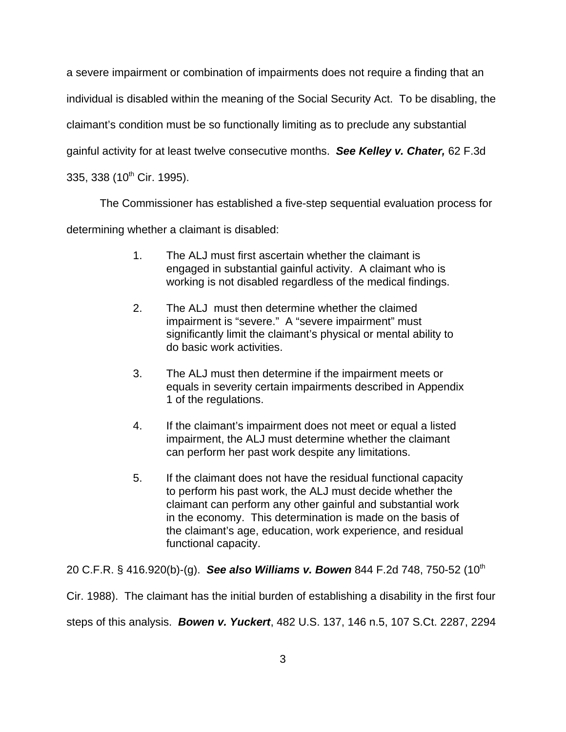a severe impairment or combination of impairments does not require a finding that an individual is disabled within the meaning of the Social Security Act. To be disabling, the claimant's condition must be so functionally limiting as to preclude any substantial gainful activity for at least twelve consecutive months. *See Kelley v. Chater,* 62 F.3d 335, 338 (10<sup>th</sup> Cir. 1995).

The Commissioner has established a five-step sequential evaluation process for

determining whether a claimant is disabled:

- 1. The ALJ must first ascertain whether the claimant is engaged in substantial gainful activity. A claimant who is working is not disabled regardless of the medical findings.
- 2. The ALJ must then determine whether the claimed impairment is "severe." A "severe impairment" must significantly limit the claimant's physical or mental ability to do basic work activities.
- 3. The ALJ must then determine if the impairment meets or equals in severity certain impairments described in Appendix 1 of the regulations.
- 4. If the claimant's impairment does not meet or equal a listed impairment, the ALJ must determine whether the claimant can perform her past work despite any limitations.
- 5. If the claimant does not have the residual functional capacity to perform his past work, the ALJ must decide whether the claimant can perform any other gainful and substantial work in the economy. This determination is made on the basis of the claimant's age, education, work experience, and residual functional capacity.

20 C.F.R. § 416.920(b)-(g). *See also Williams v. Bowen* 844 F.2d 748, 750-52 (10th Cir. 1988). The claimant has the initial burden of establishing a disability in the first four steps of this analysis. *Bowen v. Yuckert*, 482 U.S. 137, 146 n.5, 107 S.Ct. 2287, 2294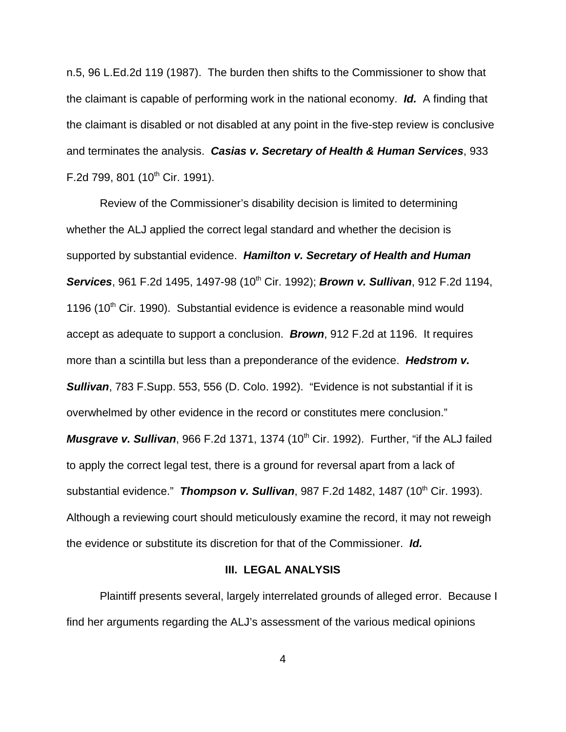n.5, 96 L.Ed.2d 119 (1987). The burden then shifts to the Commissioner to show that the claimant is capable of performing work in the national economy. *Id.* A finding that the claimant is disabled or not disabled at any point in the five-step review is conclusive and terminates the analysis. *Casias v. Secretary of Health & Human Services*, 933 F.2d 799, 801 (10<sup>th</sup> Cir. 1991).

Review of the Commissioner's disability decision is limited to determining whether the ALJ applied the correct legal standard and whether the decision is supported by substantial evidence. *Hamilton v. Secretary of Health and Human* **Services**, 961 F.2d 1495, 1497-98 (10<sup>th</sup> Cir. 1992); **Brown v. Sullivan**, 912 F.2d 1194, 1196 (10<sup>th</sup> Cir. 1990). Substantial evidence is evidence a reasonable mind would accept as adequate to support a conclusion. *Brown*, 912 F.2d at 1196. It requires more than a scintilla but less than a preponderance of the evidence. *Hedstrom v. Sullivan*, 783 F.Supp. 553, 556 (D. Colo. 1992). "Evidence is not substantial if it is overwhelmed by other evidence in the record or constitutes mere conclusion." *Musgrave v. Sullivan*, 966 F.2d 1371, 1374 (10<sup>th</sup> Cir. 1992). Further, "if the ALJ failed to apply the correct legal test, there is a ground for reversal apart from a lack of substantial evidence." **Thompson v. Sullivan**, 987 F.2d 1482, 1487 (10<sup>th</sup> Cir. 1993). Although a reviewing court should meticulously examine the record, it may not reweigh the evidence or substitute its discretion for that of the Commissioner. *Id.* 

#### **III. LEGAL ANALYSIS**

Plaintiff presents several, largely interrelated grounds of alleged error. Because I find her arguments regarding the ALJ's assessment of the various medical opinions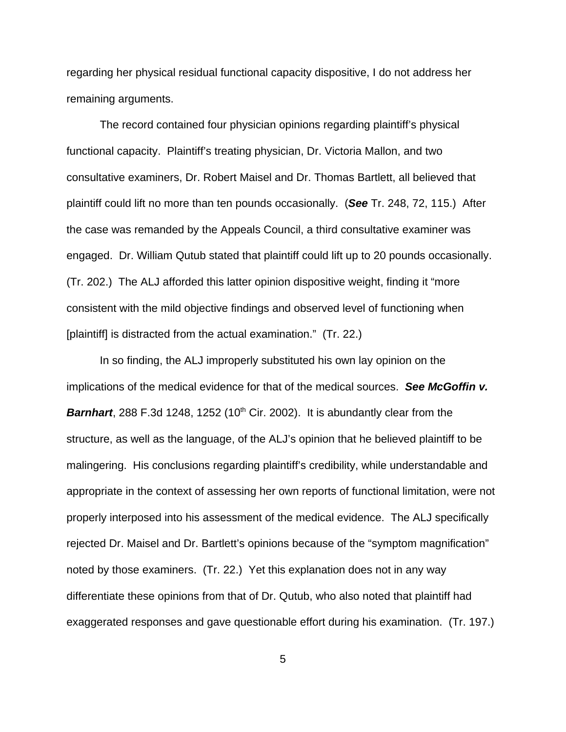regarding her physical residual functional capacity dispositive, I do not address her remaining arguments.

The record contained four physician opinions regarding plaintiff's physical functional capacity. Plaintiff's treating physician, Dr. Victoria Mallon, and two consultative examiners, Dr. Robert Maisel and Dr. Thomas Bartlett, all believed that plaintiff could lift no more than ten pounds occasionally. (*See* Tr. 248, 72, 115.) After the case was remanded by the Appeals Council, a third consultative examiner was engaged. Dr. William Qutub stated that plaintiff could lift up to 20 pounds occasionally. (Tr. 202.) The ALJ afforded this latter opinion dispositive weight, finding it "more consistent with the mild objective findings and observed level of functioning when [plaintiff] is distracted from the actual examination." (Tr. 22.)

In so finding, the ALJ improperly substituted his own lay opinion on the implications of the medical evidence for that of the medical sources. *See McGoffin v.* **Barnhart**, 288 F.3d 1248, 1252 (10<sup>th</sup> Cir. 2002). It is abundantly clear from the structure, as well as the language, of the ALJ's opinion that he believed plaintiff to be malingering. His conclusions regarding plaintiff's credibility, while understandable and appropriate in the context of assessing her own reports of functional limitation, were not properly interposed into his assessment of the medical evidence. The ALJ specifically rejected Dr. Maisel and Dr. Bartlett's opinions because of the "symptom magnification" noted by those examiners. (Tr. 22.) Yet this explanation does not in any way differentiate these opinions from that of Dr. Qutub, who also noted that plaintiff had exaggerated responses and gave questionable effort during his examination. (Tr. 197.)

5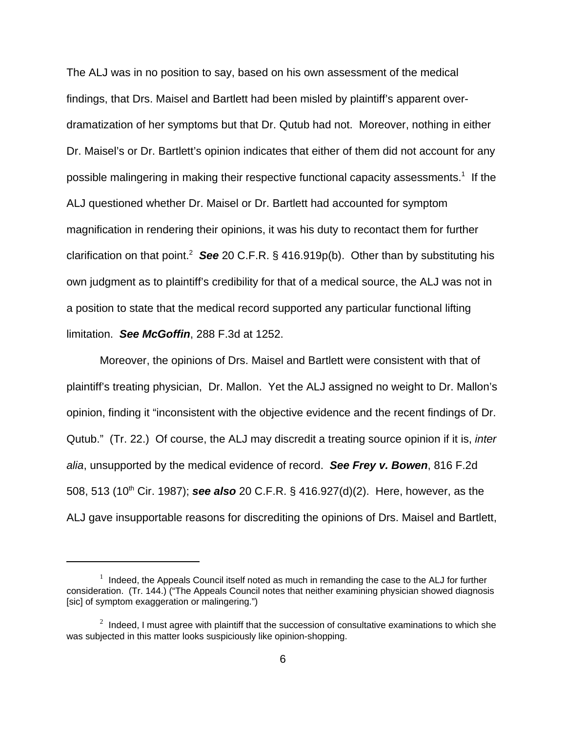The ALJ was in no position to say, based on his own assessment of the medical findings, that Drs. Maisel and Bartlett had been misled by plaintiff's apparent overdramatization of her symptoms but that Dr. Qutub had not. Moreover, nothing in either Dr. Maisel's or Dr. Bartlett's opinion indicates that either of them did not account for any possible malingering in making their respective functional capacity assessments.<sup>1</sup> If the ALJ questioned whether Dr. Maisel or Dr. Bartlett had accounted for symptom magnification in rendering their opinions, it was his duty to recontact them for further clarification on that point.<sup>2</sup> See 20 C.F.R. § 416.919p(b). Other than by substituting his own judgment as to plaintiff's credibility for that of a medical source, the ALJ was not in a position to state that the medical record supported any particular functional lifting limitation. *See McGoffin*, 288 F.3d at 1252.

Moreover, the opinions of Drs. Maisel and Bartlett were consistent with that of plaintiff's treating physician, Dr. Mallon. Yet the ALJ assigned no weight to Dr. Mallon's opinion, finding it "inconsistent with the objective evidence and the recent findings of Dr. Qutub." (Tr. 22.) Of course, the ALJ may discredit a treating source opinion if it is, *inter alia*, unsupported by the medical evidence of record. *See Frey v. Bowen*, 816 F.2d 508, 513 (10<sup>th</sup> Cir. 1987); **see also** 20 C.F.R. § 416.927(d)(2). Here, however, as the ALJ gave insupportable reasons for discrediting the opinions of Drs. Maisel and Bartlett,

 $1$  Indeed, the Appeals Council itself noted as much in remanding the case to the ALJ for further consideration. (Tr. 144.) ("The Appeals Council notes that neither examining physician showed diagnosis [sic] of symptom exaggeration or malingering.")

 $2$  Indeed, I must agree with plaintiff that the succession of consultative examinations to which she was subjected in this matter looks suspiciously like opinion-shopping.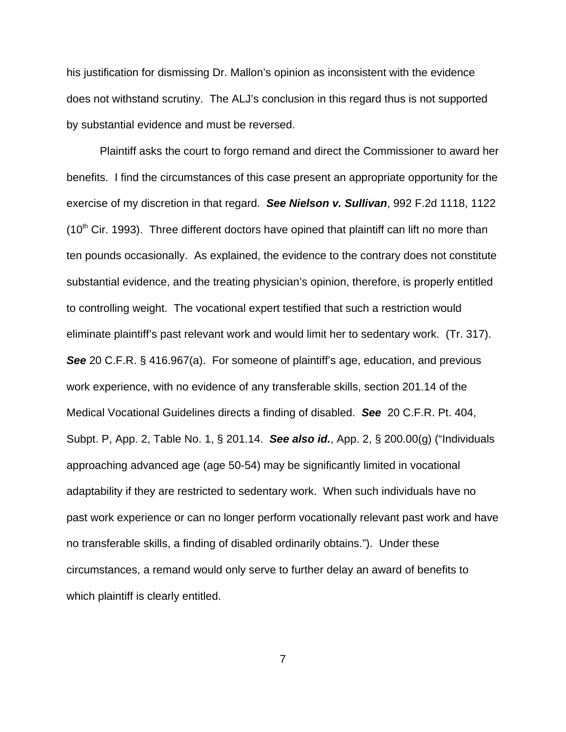his justification for dismissing Dr. Mallon's opinion as inconsistent with the evidence does not withstand scrutiny. The ALJ's conclusion in this regard thus is not supported by substantial evidence and must be reversed.

Plaintiff asks the court to forgo remand and direct the Commissioner to award her benefits. I find the circumstances of this case present an appropriate opportunity for the exercise of my discretion in that regard. *See Nielson v. Sullivan*, 992 F.2d 1118, 1122  $(10<sup>th</sup>$  Cir. 1993). Three different doctors have opined that plaintiff can lift no more than ten pounds occasionally. As explained, the evidence to the contrary does not constitute substantial evidence, and the treating physician's opinion, therefore, is properly entitled to controlling weight. The vocational expert testified that such a restriction would eliminate plaintiff's past relevant work and would limit her to sedentary work. (Tr. 317). **See** 20 C.F.R. § 416.967(a). For someone of plaintiff's age, education, and previous work experience, with no evidence of any transferable skills, section 201.14 of the Medical Vocational Guidelines directs a finding of disabled. *See* 20 C.F.R. Pt. 404, Subpt. P, App. 2, Table No. 1, § 201.14. *See also id.*, App. 2, § 200.00(g) ("Individuals approaching advanced age (age 50-54) may be significantly limited in vocational adaptability if they are restricted to sedentary work. When such individuals have no past work experience or can no longer perform vocationally relevant past work and have no transferable skills, a finding of disabled ordinarily obtains."). Under these circumstances, a remand would only serve to further delay an award of benefits to which plaintiff is clearly entitled.

7